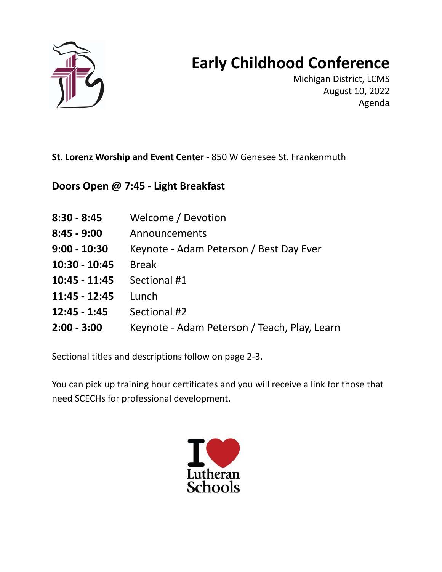

## **Early Childhood Conference**

Michigan District, LCMS August 10, 2022 Agenda

**St. Lorenz Worship and Event Center -** 850 W Genesee St. Frankenmuth

**Doors Open @ 7:45 - Light Breakfast**

| $8:30 - 8:45$ | Welcome / Devotion |  |
|---------------|--------------------|--|
|               |                    |  |

- **8:45 - 9:00** Announcements
- **9:00 - 10:30** Keynote Adam Peterson / Best Day Ever
- **10:30 - 10:45** Break
- **10:45 - 11:45** Sectional #1
- **11:45 - 12:45** Lunch
- **12:45 - 1:45** Sectional #2
- **2:00 - 3:00** Keynote Adam Peterson / Teach, Play, Learn

Sectional titles and descriptions follow on page 2-3.

You can pick up training hour certificates and you will receive a link for those that need SCECHs for professional development.

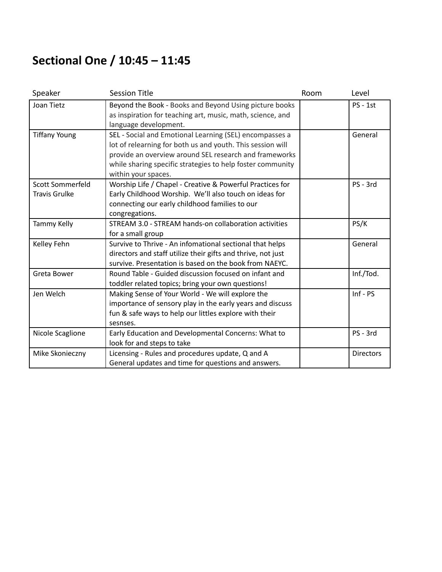## **Sectional One / 10:45 – 11:45**

| Speaker              | <b>Session Title</b>                                         | Room | Level            |
|----------------------|--------------------------------------------------------------|------|------------------|
| Joan Tietz           | Beyond the Book - Books and Beyond Using picture books       |      | <b>PS - 1st</b>  |
|                      | as inspiration for teaching art, music, math, science, and   |      |                  |
|                      | language development.                                        |      |                  |
| <b>Tiffany Young</b> | SEL - Social and Emotional Learning (SEL) encompasses a      |      | General          |
|                      | lot of relearning for both us and youth. This session will   |      |                  |
|                      | provide an overview around SEL research and frameworks       |      |                  |
|                      | while sharing specific strategies to help foster community   |      |                  |
|                      | within your spaces.                                          |      |                  |
| Scott Sommerfeld     | Worship Life / Chapel - Creative & Powerful Practices for    |      | PS - 3rd         |
| <b>Travis Grulke</b> | Early Childhood Worship. We'll also touch on ideas for       |      |                  |
|                      | connecting our early childhood families to our               |      |                  |
|                      | congregations.                                               |      |                  |
| Tammy Kelly          | STREAM 3.0 - STREAM hands-on collaboration activities        |      | PS/K             |
|                      | for a small group                                            |      |                  |
| Kelley Fehn          | Survive to Thrive - An infomational sectional that helps     |      | General          |
|                      | directors and staff utilize their gifts and thrive, not just |      |                  |
|                      | survive. Presentation is based on the book from NAEYC.       |      |                  |
| Greta Bower          | Round Table - Guided discussion focused on infant and        |      | Inf./Tod.        |
|                      | toddler related topics; bring your own questions!            |      |                  |
| Jen Welch            | Making Sense of Your World - We will explore the             |      | $Inf - PS$       |
|                      | importance of sensory play in the early years and discuss    |      |                  |
|                      | fun & safe ways to help our littles explore with their       |      |                  |
|                      | sesnses.                                                     |      |                  |
| Nicole Scaglione     | Early Education and Developmental Concerns: What to          |      | PS - 3rd         |
|                      | look for and steps to take                                   |      |                  |
| Mike Skonieczny      | Licensing - Rules and procedures update, Q and A             |      | <b>Directors</b> |
|                      | General updates and time for questions and answers.          |      |                  |